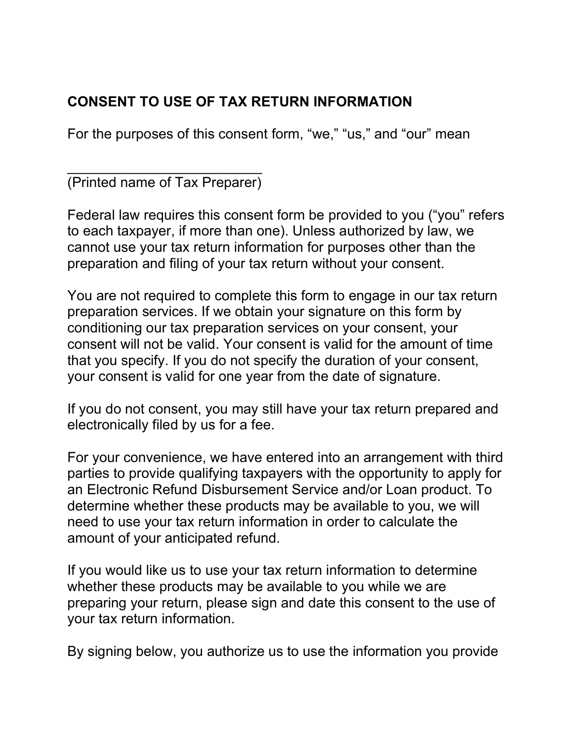## CONSENT TO USE OF TAX RETURN INFORMATION

For the purposes of this consent form, "we," "us," and "our" mean

\_\_\_\_\_\_\_\_\_\_\_\_\_\_\_\_\_\_\_\_\_\_\_\_\_ (Printed name of Tax Preparer)

Federal law requires this consent form be provided to you ("you" refers to each taxpayer, if more than one). Unless authorized by law, we cannot use your tax return information for purposes other than the preparation and filing of your tax return without your consent.

You are not required to complete this form to engage in our tax return preparation services. If we obtain your signature on this form by conditioning our tax preparation services on your consent, your consent will not be valid. Your consent is valid for the amount of time that you specify. If you do not specify the duration of your consent, your consent is valid for one year from the date of signature.

If you do not consent, you may still have your tax return prepared and electronically filed by us for a fee.

For your convenience, we have entered into an arrangement with third parties to provide qualifying taxpayers with the opportunity to apply for an Electronic Refund Disbursement Service and/or Loan product. To determine whether these products may be available to you, we will need to use your tax return information in order to calculate the amount of your anticipated refund.

If you would like us to use your tax return information to determine whether these products may be available to you while we are preparing your return, please sign and date this consent to the use of your tax return information.

By signing below, you authorize us to use the information you provide